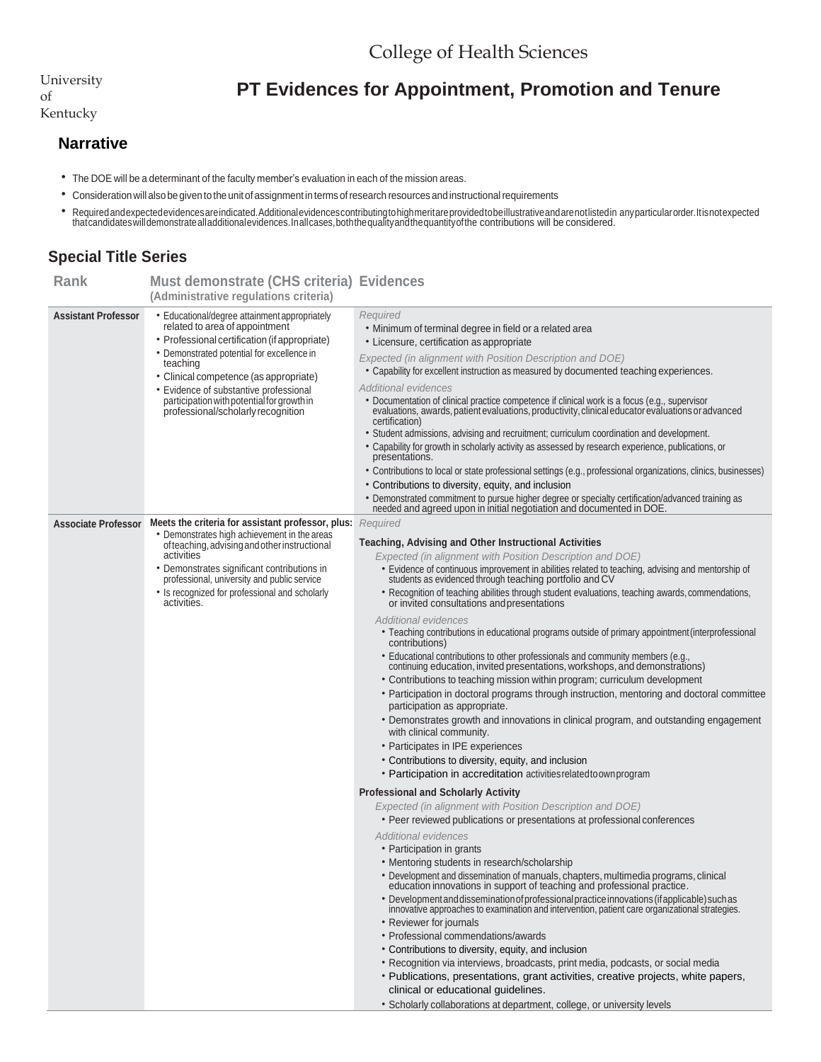University of Kentucky

## **PT Evidences for Appointment, Promotion and Tenure**

## **Narrative**

- The DOE will be a determinant of the faculty member's evaluation in each of the mission areas.
- Consideration will also be given to the unitofassignment in terms ofresearch resources and instructionalrequirements
- \* Required and expected evidences are indicated. Additional evidences contributing to high meritare provided to be illustrative and are not listed in any particular order. It is not expected<br>that candidates will demonstrat

## **Special Title Series**

| Rank                       | Must demonstrate (CHS criteria) Evidences<br>(Administrative regulations criteria)                                                                                                                                                                                                                                                                                 |                                                                                                                                                                                                                                                                                                                                                                                                                                                                                                                                                                                                                                                                                                                                                                                                                                                                                                                                                                                                                                                                                                                                                                                                                                                                |
|----------------------------|--------------------------------------------------------------------------------------------------------------------------------------------------------------------------------------------------------------------------------------------------------------------------------------------------------------------------------------------------------------------|----------------------------------------------------------------------------------------------------------------------------------------------------------------------------------------------------------------------------------------------------------------------------------------------------------------------------------------------------------------------------------------------------------------------------------------------------------------------------------------------------------------------------------------------------------------------------------------------------------------------------------------------------------------------------------------------------------------------------------------------------------------------------------------------------------------------------------------------------------------------------------------------------------------------------------------------------------------------------------------------------------------------------------------------------------------------------------------------------------------------------------------------------------------------------------------------------------------------------------------------------------------|
| <b>Assistant Professor</b> | • Educational/degree attainment appropriately<br>related to area of appointment<br>• Professional certification (if appropriate)<br>• Demonstrated potential for excellence in<br>teaching<br>• Clinical competence (as appropriate)<br>• Evidence of substantive professional<br>participation with potential for growth in<br>professional/scholarly recognition | Required<br>• Minimum of terminal degree in field or a related area<br>• Licensure, certification as appropriate<br>Expected (in alignment with Position Description and DOE)<br>. Capability for excellent instruction as measured by documented teaching experiences.<br><b>Additional evidences</b><br>· Documentation of clinical practice competence if clinical work is a focus (e.g., supervisor<br>evaluations, awards, patient evaluations, productivity, clinical educator evaluations or advanced<br>certification)<br>• Student admissions, advising and recruitment; curriculum coordination and development.<br>• Capability for growth in scholarly activity as assessed by research experience, publications, or<br>presentations.<br>• Contributions to local or state professional settings (e.g., professional organizations, clinics, businesses)<br>• Contributions to diversity, equity, and inclusion<br>• Demonstrated commitment to pursue higher degree or specialty certification/advanced training as needed and agreed upon in initial negotiation and documented in DOE.                                                                                                                                                         |
| <b>Associate Professor</b> | Meets the criteria for assistant professor, plus: Required<br>• Demonstrates high achievement in the areas<br>of teaching, advising and other instructional<br>activities<br>• Demonstrates significant contributions in<br>professional, university and public service<br>• Is recognized for professional and scholarly<br>activities.                           | Teaching, Advising and Other Instructional Activities<br>Expected (in alignment with Position Description and DOE)<br>• Evidence of continuous improvement in abilities related to teaching, advising and mentorship of students as evidenced through teaching portfolio and CV<br>• Recognition of teaching abilities through student evaluations, teaching awards, commendations,<br>or invited consultations and presentations<br><b>Additional evidences</b><br>• Teaching contributions in educational programs outside of primary appointment (interprofessional<br>contributions)<br>• Educational contributions to other professionals and community members (e.g.,<br>continuing education, invited presentations, workshops, and demonstrations)<br>• Contributions to teaching mission within program; curriculum development<br>• Participation in doctoral programs through instruction, mentoring and doctoral committee<br>participation as appropriate.<br>• Demonstrates growth and innovations in clinical program, and outstanding engagement<br>with clinical community.<br>• Participates in IPE experiences<br>• Contributions to diversity, equity, and inclusion<br>• Participation in accreditation activities related to own program |
|                            |                                                                                                                                                                                                                                                                                                                                                                    | <b>Professional and Scholarly Activity</b><br>Expected (in alignment with Position Description and DOE)<br>• Peer reviewed publications or presentations at professional conferences<br>Additional evidences<br>• Participation in grants<br>• Mentoring students in research/scholarship<br>• Development and dissemination of manuals, chapters, multimedia programs, clinical<br>education innovations in support of teaching and professional practice.<br>• Development and dissemination of professional practice innovations (if applicable) such as<br>innovative approaches to examination and intervention, patient care organizational strategies.<br>• Reviewer for journals<br>• Professional commendations/awards<br>• Contributions to diversity, equity, and inclusion<br>• Recognition via interviews, broadcasts, print media, podcasts, or social media<br>• Publications, presentations, grant activities, creative projects, white papers,<br>clinical or educational guidelines.<br>• Scholarly collaborations at department, college, or university levels                                                                                                                                                                              |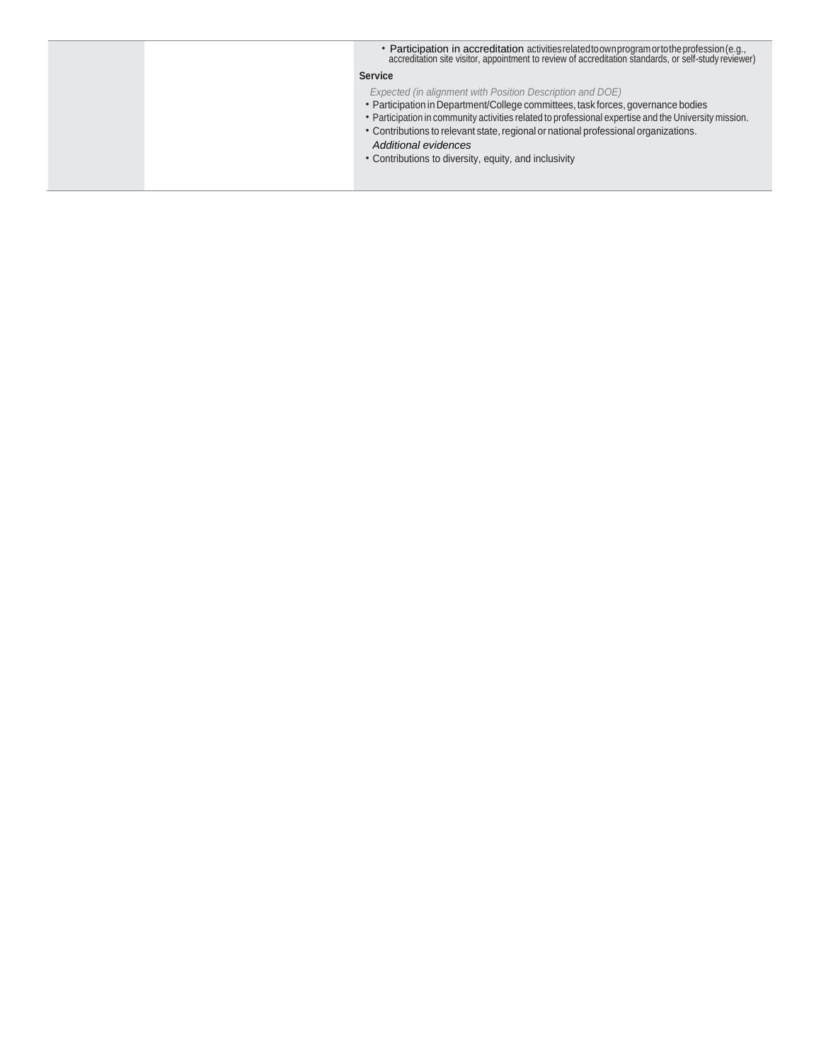| • Participation in accreditation activities related to own program or to the profession (e.g.,<br>accreditation site visitor, appointment to review of accreditation standards, or self-study reviewer)                                                                                                                                                                                                                        |
|--------------------------------------------------------------------------------------------------------------------------------------------------------------------------------------------------------------------------------------------------------------------------------------------------------------------------------------------------------------------------------------------------------------------------------|
| <b>Service</b>                                                                                                                                                                                                                                                                                                                                                                                                                 |
| Expected (in alignment with Position Description and DOE)<br>• Participation in Department/College committees, task forces, governance bodies<br>• Participation in community activities related to professional expertise and the University mission.<br>• Contributions to relevant state, regional or national professional organizations.<br>Additional evidences<br>• Contributions to diversity, equity, and inclusivity |